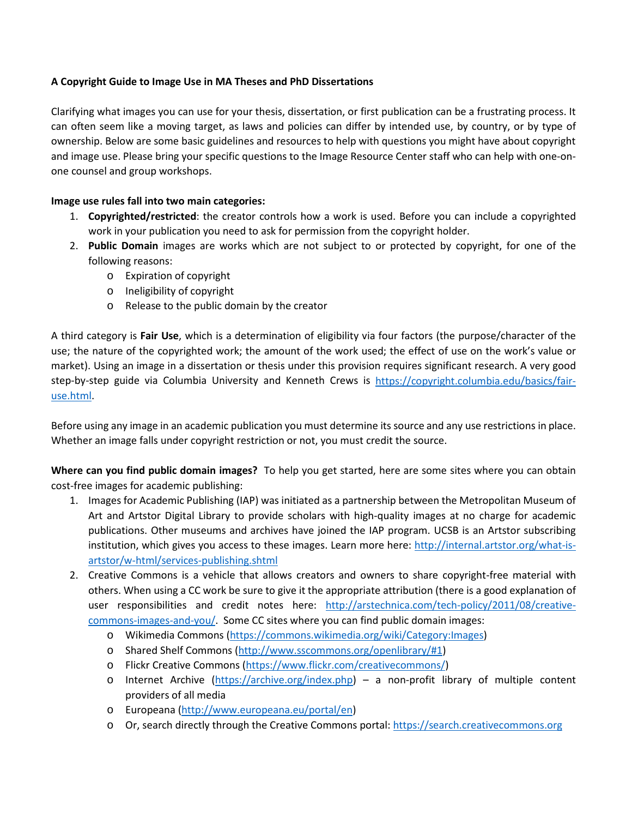## **A Copyright Guide to Image Use in MA Theses and PhD Dissertations**

Clarifying what images you can use for your thesis, dissertation, or first publication can be a frustrating process. It can often seem like a moving target, as laws and policies can differ by intended use, by country, or by type of ownership. Below are some basic guidelines and resources to help with questions you might have about copyright and image use. Please bring your specific questions to the Image Resource Center staff who can help with one-onone counsel and group workshops.

## **Image use rules fall into two main categories:**

- 1. **Copyrighted/restricted**: the creator controls how a work is used. Before you can include a copyrighted work in your publication you need to ask for permission from the copyright holder.
- 2. **Public Domain** images are works which are not subject to or protected by copyright, for one of the following reasons:
	- o Expiration of copyright
	- o Ineligibility of copyright
	- o Release to the public domain by the creator

A third category is **Fair Use**, which is a determination of eligibility via four factors (the purpose/character of the use; the nature of the copyrighted work; the amount of the work used; the effect of use on the work's value or market). Using an image in a dissertation or thesis under this provision requires significant research. A very good step-by-step guide via Columbia University and Kenneth Crews is [https://copyright.columbia.edu/basics/fair](https://copyright.columbia.edu/basics/fair-use.html)[use.html.](https://copyright.columbia.edu/basics/fair-use.html)

Before using any image in an academic publication you must determine its source and any use restrictions in place. Whether an image falls under copyright restriction or not, you must credit the source.

**Where can you find public domain images?** To help you get started, here are some sites where you can obtain cost-free images for academic publishing:

- 1. Images for Academic Publishing (IAP) was initiated as a partnership between the Metropolitan Museum of Art and Artstor Digital Library to provide scholars with high-quality images at no charge for academic publications. Other museums and archives have joined the IAP program. UCSB is an Artstor subscribing institution, which gives you access to these images. Learn more here: [http://internal.artstor.org/what-is](http://internal.artstor.org/what-is-artstor/w-html/services-publishing.shtml)[artstor/w-html/services-publishing.shtml](http://internal.artstor.org/what-is-artstor/w-html/services-publishing.shtml)
- 2. Creative Commons is a vehicle that allows creators and owners to share copyright-free material with others. When using a CC work be sure to give it the appropriate attribution (there is a good explanation of user responsibilities and credit notes here: [http://arstechnica.com/tech-policy/2011/08/creative](http://arstechnica.com/tech-policy/2011/08/creative-commons-images-and-you/)[commons-images-and-you/.](http://arstechnica.com/tech-policy/2011/08/creative-commons-images-and-you/) Some CC sites where you can find public domain images:
	- o Wikimedia Commons [\(https://commons.wikimedia.org/wiki/Category:Images\)](https://commons.wikimedia.org/wiki/Category:Images)
	- o Shared Shelf Commons [\(http://www.sscommons.org/openlibrary/#1\)](http://www.sscommons.org/openlibrary/#1)
	- o Flickr Creative Commons [\(https://www.flickr.com/creativecommons/\)](https://www.flickr.com/creativecommons/)
	- o Internet Archive [\(https://archive.org/index.php\)](https://archive.org/index.php) a non-profit library of multiple content providers of all media
	- o Europeana [\(http://www.europeana.eu/portal/en\)](http://www.europeana.eu/portal/en)
	- o Or, search directly through the Creative Commons portal: [https://search.creativecommons.org](https://search.creativecommons.org/)